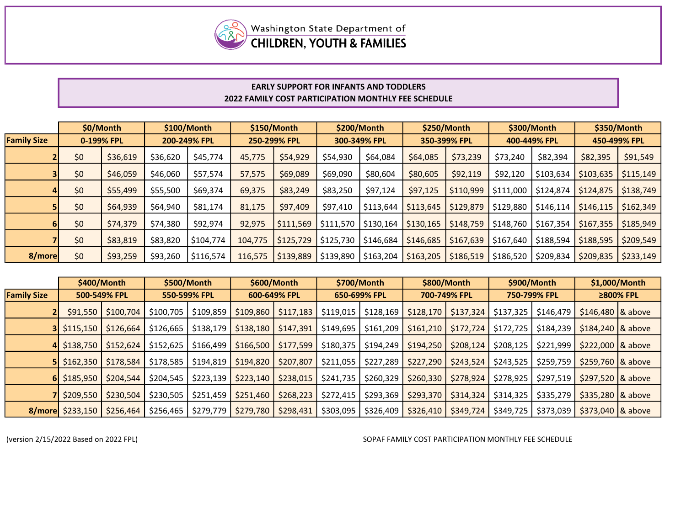

## EARLY SUPPORT FOR INFANTS AND TODDLERS 2022 FAMILY COST PARTICIPATION MONTHLY FEE SCHEDULE

|                    |     | \$0/Month  |          | \$100/Month  |         | \$150/Month  |           | \$200/Month  |           | \$250/Month  | \$300/Month                                     |                         | \$350/Month  |           |
|--------------------|-----|------------|----------|--------------|---------|--------------|-----------|--------------|-----------|--------------|-------------------------------------------------|-------------------------|--------------|-----------|
| <b>Family Size</b> |     | 0-199% FPL |          | 200-249% FPL |         | 250-299% FPL |           | 300-349% FPL |           | 350-399% FPL | 400-449% FPL                                    |                         | 450-499% FPL |           |
|                    | \$0 | \$36,619   | \$36,620 | \$45,774     | 45,775  | \$54,929     | \$54,930  | \$64,084     | \$64,085  | \$73,239     | \$73,240                                        | \$82,394                | \$82,395     | \$91,549  |
|                    | \$0 | \$46,059   | \$46,060 | \$57,574     | 57,575  | \$69,089     | \$69,090  | \$80,604     | \$80,605  | \$92,119     | \$92,120                                        | \$103,634               | \$103,635    | \$115,149 |
|                    | \$0 | \$55,499   | \$55,500 | \$69,374     | 69,375  | \$83,249     | \$83,250  | \$97,124     | \$97,125  | \$110,999    | \$111,000                                       | \$124,874               | \$124,875    | \$138,749 |
|                    | \$0 | \$64,939   | \$64,940 | \$81,174     | 81,175  | \$97,409     | \$97,410  | \$113,644    | \$113,645 | \$129,879    | \$129,880                                       | \$146,114               | \$146,115    | \$162,349 |
|                    | \$0 | \$74,379   | \$74,380 | \$92,974     | 92,975  | \$111,569    | \$111,570 | \$130,164    | \$130,165 | \$148,759    | \$148,760                                       | $\frac{1}{2}$ \$167,354 | \$167,355    | \$185,949 |
|                    | \$0 | \$83,819   | \$83,820 | \$104,774    | 104,775 | \$125,729    | \$125,730 | \$146,684    | \$146,685 | \$167,639    | \$167,640                                       | \$188,594               | \$188,595    | \$209,549 |
| 8/more             | \$0 | \$93,259   | \$93,260 | \$116,574    | 116.575 | \$139,889    | \$139,890 | \$163,204    | \$163,205 |              | $\frac{1}{2}$ \$186,519   \$186,520   \$209,834 |                         | \$209,835    | \$233,149 |

|                    |                                         | \$400/Month |           | \$500/Month  |              | \$600/Month |           | \$700/Month  |              | \$800/Month | \$900/Month  |           | \$1,000/Month        |  |
|--------------------|-----------------------------------------|-------------|-----------|--------------|--------------|-------------|-----------|--------------|--------------|-------------|--------------|-----------|----------------------|--|
| <b>Family Size</b> | 500-549% FPL                            |             |           | 550-599% FPL | 600-649% FPL |             |           | 650-699% FPL | 700-749% FPL |             | 750-799% FPL |           | ≥800% FPL            |  |
|                    | \$91,550                                | \$100,704   | \$100,705 | \$109,859    | \$109,860    | \$117,183   | \$119,015 | \$128,169    | \$128,170    | $$137,324$  | \$137,325    | \$146,479 | $$146,480$ $8$ above |  |
|                    | 3   \$115,150                           | \$126,664   | \$126,665 | \$138,179    | \$138,180    | \$147,391   | \$149,695 | \$161,209    | \$161,210    | \$172,724   | \$172,725    | \$184,239 | $$184,240$ $8$ above |  |
|                    | 4 \$138,750                             | \$152,624   | \$152,625 | \$166,499    | \$166,500    | \$177,599   | \$180,375 | \$194,249    | \$194,250    | \$208,124   | \$208,125    | \$221,999 | $$222,000$ $8$ above |  |
|                    | $5$   \$162,350                         | \$178,584   | \$178,585 | \$194,819    | \$194,820    | \$207,807   | \$211,055 | \$227,289    | \$227,290    | \$243,524   | \$243,525    | \$259,759 | $$259,760$ $8$ above |  |
|                    | $6$   \$185,950                         | \$204,544   | \$204,545 | \$223,139    | \$223,140    | \$238,015   | \$241,735 | \$260,329    | \$260,330    | \$278,924   | \$278,925    | \$297,519 | $$297,520$ $8$ above |  |
|                    | $7 $ \$209,550                          | \$230,504   | \$230,505 | \$251,459    | \$251,460    | \$268,223   | \$272,415 | \$293,369    | \$293,370    | \$314,324   | \$314,325    | \$335,279 | $$335,280$ $8$ above |  |
|                    | <b>8/more</b> $\frac{233,150}{256,464}$ |             | \$256,465 | \$279,779    | \$279,780    | \$298,431   | \$303,095 | \$326,409    | \$326,410    | \$349,724   | \$349,725    | \$373,039 | $$373,040$ $8$ above |  |

(version 2/15/2022 Based on 2022 FPL)

SOPAF FAMILY COST PARTICIPATION MONTHLY FEE SCHEDULE